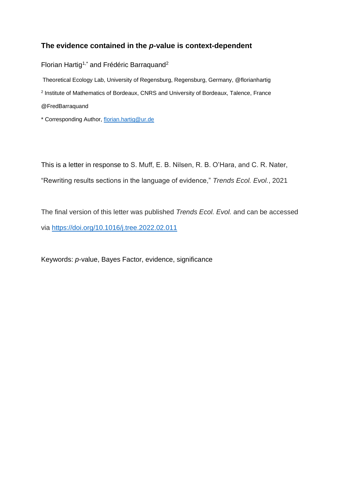## **The evidence contained in the** *p***-value is context-dependent**

Florian Hartig<sup>1,\*</sup> and Frédéric Barraquand<sup>2</sup>

Theoretical Ecology Lab, University of Regensburg, Regensburg, Germany, @florianhartig <sup>2</sup> Institute of Mathematics of Bordeaux, CNRS and University of Bordeaux, Talence, France @FredBarraquand

\* Corresponding Author, [florian.hartig@ur.de](mailto:florian.hartig@ur.de)

This is a letter in response to S. Muff, E. B. Nilsen, R. B. O'Hara, and C. R. Nater, "Rewriting results sections in the language of evidence," *Trends Ecol. Evol.*, 2021

The final version of this letter was published *Trends Ecol. Evol.* and can be accessed via <https://doi.org/10.1016/j.tree.2022.02.011>

Keywords: *p*-value, Bayes Factor, evidence, significance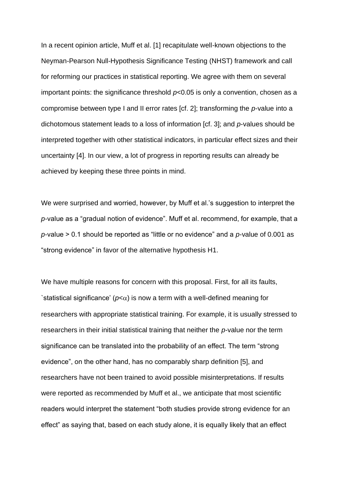In a recent opinion article, Muff et al. [1] recapitulate well-known objections to the Neyman-Pearson Null-Hypothesis Significance Testing (NHST) framework and call for reforming our practices in statistical reporting. We agree with them on several important points: the significance threshold *p*<0.05 is only a convention, chosen as a compromise between type I and II error rates [cf. 2]; transforming the *p*-value into a dichotomous statement leads to a loss of information [cf. 3]; and *p*-values should be interpreted together with other statistical indicators, in particular effect sizes and their uncertainty [4]. In our view, a lot of progress in reporting results can already be achieved by keeping these three points in mind.

We were surprised and worried, however, by Muff et al.'s suggestion to interpret the *p*-value as a "gradual notion of evidence". Muff et al. recommend, for example, that a *p*-value > 0.1 should be reported as "little or no evidence" and a *p*-value of 0.001 as "strong evidence" in favor of the alternative hypothesis H1.

We have multiple reasons for concern with this proposal. First, for all its faults, 'statistical significance' ( $p<\alpha$ ) is now a term with a well-defined meaning for researchers with appropriate statistical training. For example, it is usually stressed to researchers in their initial statistical training that neither the *p*-value nor the term significance can be translated into the probability of an effect. The term "strong evidence", on the other hand, has no comparably sharp definition [5], and researchers have not been trained to avoid possible misinterpretations. If results were reported as recommended by Muff et al., we anticipate that most scientific readers would interpret the statement "both studies provide strong evidence for an effect" as saying that, based on each study alone, it is equally likely that an effect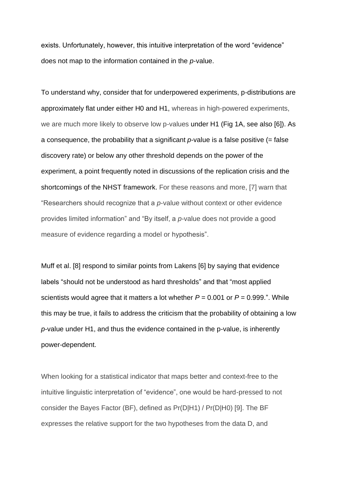exists. Unfortunately, however, this intuitive interpretation of the word "evidence" does not map to the information contained in the *p*-value.

To understand why, consider that for underpowered experiments, p-distributions are approximately flat under either H0 and H1, whereas in high-powered experiments, we are much more likely to observe low p-values under H1 (Fig 1A, see also [6]). As a consequence, the probability that a significant  $p$ -value is a false positive  $(=$  false discovery rate) or below any other threshold depends on the power of the experiment, a point frequently noted in discussions of the replication crisis and the shortcomings of the NHST framework. For these reasons and more, [7] warn that "Researchers should recognize that a *p*-value without context or other evidence provides limited information" and "By itself, a *p*-value does not provide a good measure of evidence regarding a model or hypothesis".

Muff et al. [8] respond to similar points from Lakens [6] by saying that evidence labels "should not be understood as hard thresholds" and that "most applied scientists would agree that it matters a lot whether *P* = 0.001 or *P* = 0.999.". While this may be true, it fails to address the criticism that the probability of obtaining a low *p*-value under H1, and thus the evidence contained in the p-value, is inherently power-dependent.

When looking for a statistical indicator that maps better and context-free to the intuitive linguistic interpretation of "evidence", one would be hard-pressed to not consider the Bayes Factor (BF), defined as Pr(D|H1) / Pr(D|H0) [9]. The BF expresses the relative support for the two hypotheses from the data D, and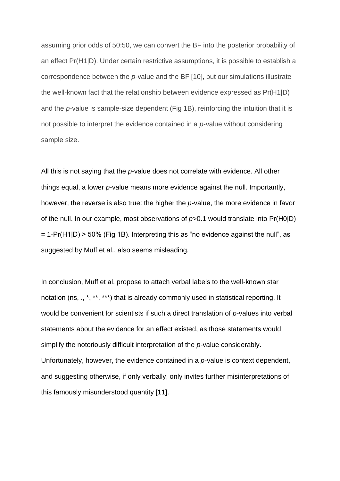assuming prior odds of 50:50, we can convert the BF into the posterior probability of an effect Pr(H1|D). Under certain restrictive assumptions, it is possible to establish a correspondence between the *p*-value and the BF [10], but our simulations illustrate the well-known fact that the relationship between evidence expressed as Pr(H1|D) and the *p*-value is sample-size dependent (Fig 1B), reinforcing the intuition that it is not possible to interpret the evidence contained in a *p*-value without considering sample size.

All this is not saying that the *p*-value does not correlate with evidence. All other things equal, a lower *p*-value means more evidence against the null. Importantly, however, the reverse is also true: the higher the *p*-value, the more evidence in favor of the null. In our example, most observations of *p*>0.1 would translate into Pr(H0|D)  $= 1$ -Pr(H1|D) > 50% (Fig 1B). Interpreting this as "no evidence against the null", as suggested by Muff et al., also seems misleading.

In conclusion, Muff et al. propose to attach verbal labels to the well-known star notation (ns, ., \*, \*\*, \*\*\*) that is already commonly used in statistical reporting. It would be convenient for scientists if such a direct translation of *p*-values into verbal statements about the evidence for an effect existed, as those statements would simplify the notoriously difficult interpretation of the *p*-value considerably. Unfortunately, however, the evidence contained in a *p*-value is context dependent, and suggesting otherwise, if only verbally, only invites further misinterpretations of this famously misunderstood quantity [11].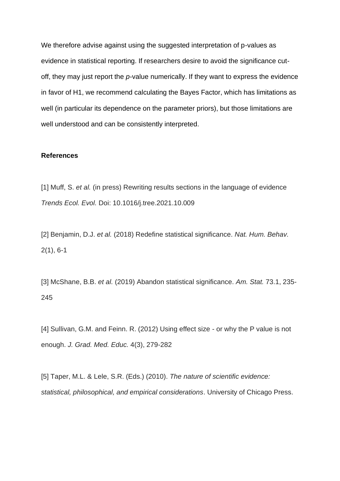We therefore advise against using the suggested interpretation of p-values as evidence in statistical reporting. If researchers desire to avoid the significance cutoff, they may just report the *p*-value numerically. If they want to express the evidence in favor of H1, we recommend calculating the Bayes Factor, which has limitations as well (in particular its dependence on the parameter priors), but those limitations are well understood and can be consistently interpreted.

## **References**

[1] Muff, S. *et al.* (in press) Rewriting results sections in the language of evidence *Trends Ecol. Evol.* Doi: 10.1016/j.tree.2021.10.009

[2] Benjamin, D.J. *et al.* (2018) Redefine statistical significance. *Nat. Hum. Behav.* 2(1), 6-1

[3] McShane, B.B. *et al.* (2019) Abandon statistical significance. *Am. Stat.* 73.1, 235- 245

[4] Sullivan, G.M. and Feinn. R. (2012) Using effect size - or why the P value is not enough. *J. Grad. Med. Educ.* 4(3), 279-282

[5] Taper, M.L. & Lele, S.R. (Eds.) (2010). *The nature of scientific evidence: statistical, philosophical, and empirical considerations*. University of Chicago Press.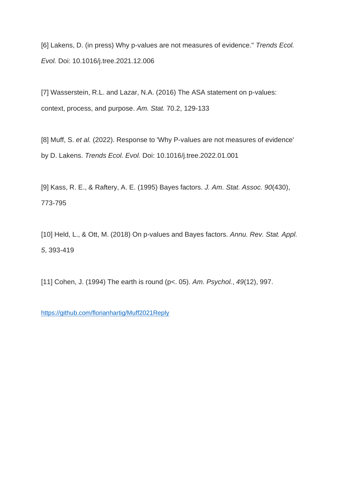[6] Lakens, D. (in press) Why p-values are not measures of evidence." *Trends Ecol. Evol.* Doi: 10.1016/j.tree.2021.12.006

[7] Wasserstein, R.L. and Lazar, N.A. (2016) The ASA statement on p-values: context, process, and purpose. *Am. Stat.* 70.2, 129-133

[8] Muff, S. *et al.* (2022). Response to 'Why P-values are not measures of evidence' by D. Lakens. *Trends Ecol. Evol.* Doi: 10.1016/j.tree.2022.01.001

[9] Kass, R. E., & Raftery, A. E. (1995) Bayes factors. *J. Am. Stat. Assoc. 90*(430), 773-795

[10] Held, L., & Ott, M. (2018) On p-values and Bayes factors. *Annu. Rev. Stat. Appl. 5*, 393-419

[11] Cohen, J. (1994) The earth is round (p<. 05). *Am. Psychol.*, *49*(12), 997.

<https://github.com/florianhartig/Muff2021Reply>